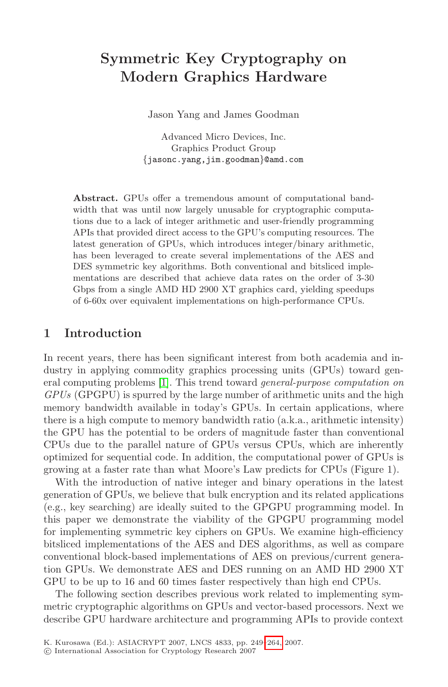# **Symmetric Key Cryptography on Modern Graphics Hardware**

Jason Yang and James Goodman

Advanced Micro Devices, Inc. Graphics Product Group {jasonc.yang,jim.goodman}@amd.com

**Abstract.** GPUs offer a tremendous amount of computational bandwidth that was until now largely unusable for cryptographic computations due to a lack of integer arithmetic and user-friendly programming APIs that provided direct access to the GPU's computing resources. The latest generation of GPUs, which introduces integer/binary arithmetic, has been leveraged to create several implementations of the AES and DES symmetric key algorithms. Both conventional and bitsliced implementations are described that achieve data rates on the order of 3-30 [Gb](#page-15-0)ps from a single AMD HD 2900 XT graphics card, yielding speedups of 6-60x over equivalent implementations on high-performance CPUs.

## **1 Introduction**

In recent years, there has been significant interest from both academia and industry in applying commodity graphics processing units (GPUs) toward general computing problems [1]. This trend toward general-purpose computation on  $GPUs$  (GPGPU) is spurred by the large number of arithmetic units and the high memory bandwidth available in today's GPUs. In certain applications, where there is a high compute to memory bandwidth ratio (a.k.a., arithmetic intensity) the GPU has the potential to be orders of magnitude faster than conventional CPUs due to the parallel nature of GPUs versus CPUs, which are inherently optimized for sequential code. In addition, the computational power of GPUs is growing at a faster rate than what Moore's Law predicts for CPUs (Figure 1).

With the introduction of native integer and binary operations in the latest generation of GPUs, we believe that bulk encryption and its related applications (e.g., key searching) are ideally suited to the GPGPU programming model. In this paper we demonstrate the viability of the GPGPU programming model for implementing symmetric key ciphers on GPUs. We examine high-efficiency bitsliced implementations of [the A](#page-15-1)ES and DES algorithms, as well as compare conventional block-based implementations of AES on previous/current generation GPUs. We demonstrate AES and DES running on an AMD HD 2900 XT GPU to be up to 16 and 60 times faster respectively than high end CPUs.

The following section describes previous work related to implementing symmetric cryptographic algorithms on GPUs and vector-based processors. Next we describe GPU hardware architecture and programming APIs to provide context

K. Kurosawa (Ed.): ASIACRYPT 2007, LNCS 4833, pp. 249–264, 2007.

<sup>-</sup>c International Association for Cryptology Research 2007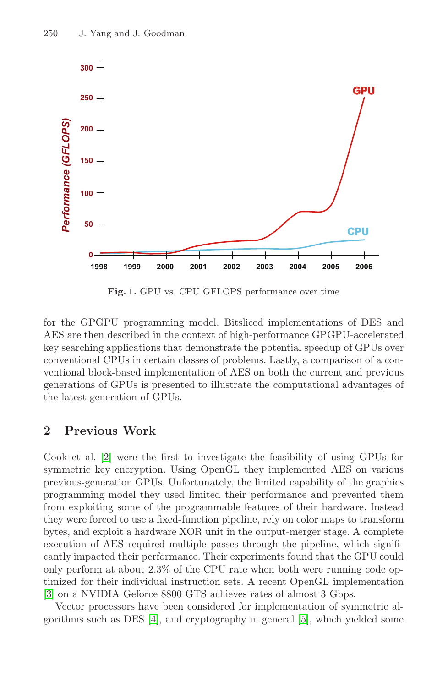

**Fig. 1.** GPU vs. CPU GFLOPS performance over time

for the GPGPU programming model. Bitsliced implementations of DES and AES are then described in the context of high-performance GPGPU-accelerated key searching applications that demonstrate the potential speedup of GPUs over conventional CPUs in certain classes of problems. Lastly, a comparison of a conventional block-based implementation of AES on both the current and previous generations of GPUs is presented to illustrate the computational advantages of the latest generation of GPUs.

#### **2 Previous Work**

Cook et al. [2] were the first to investigate the feasibility of using GPUs for symmetric key encryption. Using OpenGL they implemented AES on various previous-generation GPUs. Unfortunately, the limited capability of the graphics programming model they used limited their performance and prevented them from exploiting some of the programmable features of their hardware. Instead they [w](#page-15-2)ere forced to use a fixed-functio[n](#page-15-3) pipeline, rely on color maps to transform bytes, and exploit a hardware XOR unit in the output-merger stage. A complete execution of AES required multiple passes through the pipeline, which significantly impacted their performance. Their experiments found that the GPU could only perform at about 2.3% of the CPU rate when both were running code optimized for their individual instruction sets. A recent OpenGL implementation [3] on a NVIDIA Geforce 8800 GTS achieves rates of almost 3 Gbps.

Vector processors have been considered for implementation of symmetric algorithms such as DES [4], and cryptography in general [5], which yielded some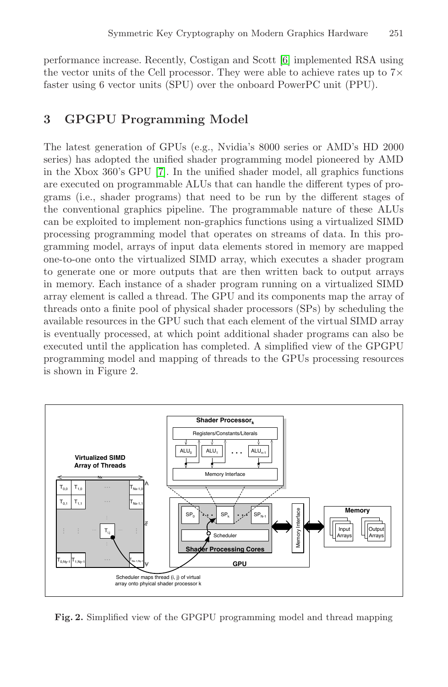performance increase. Recently, Costigan and Scott [6] implemented RSA using the ve[ct](#page-15-4)or units of the Cell processor. They were able to achieve rates up to  $7\times$ faster using 6 vector units (SPU) over the onboard PowerPC unit (PPU).

## **3 GPGPU Programming Model**

The latest generation of GPUs (e.g., Nvidia's 8000 series or AMD's HD 2000 series) has adopted the unified shader programming model pioneered by AMD in the Xbox 360's GPU [7]. In the unified shader model, all graphics functions are executed on programmable ALUs that can handle the different types of programs (i.e., shader programs) that need to be run by the different stages of the conventional graphics pipeline. The programmable nature of these ALUs can be exploited to implement non-graphics functions using a virtualized SIMD processing programming model that operates on streams of data. In this programming model, arrays of input data elements stored in memory are mapped one-to-one onto the virtualized SIMD array, which executes a shader program to generate one or more outputs that are then written back to output arrays in memory. Each instance of a shader program running on a virtualized SIMD array element is called a thread. The GPU and its components map the array of threads onto a finite pool of physical shader processors (SPs) by scheduling the available resources in the GPU such that each element of the virtual SIMD array is eventually processed, at which point additional shader programs can also be executed until the application has completed. A simplified view of the GPGPU programming model and mapping of threads to the GPUs processing resources is shown in Figure 2.



**Fig. 2.** Simplified view of the GPGPU programming model and thread mapping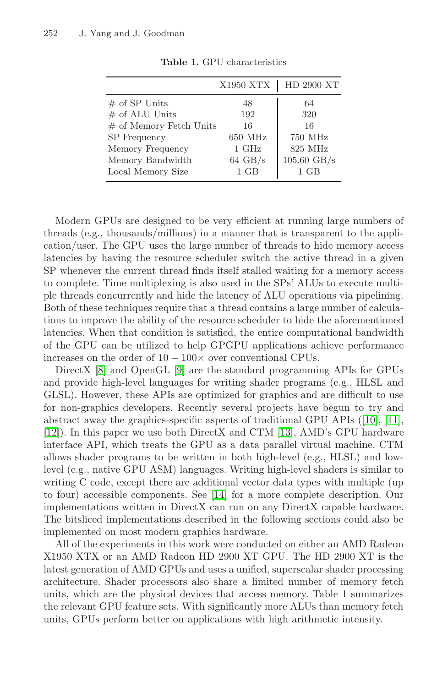|                         | $\,$ X1950 XTX $\,$ | HD 2900 XT            |
|-------------------------|---------------------|-----------------------|
| $\#$ of SP Units        | 48                  | 64                    |
| # of ALU Units          | 192                 | 320                   |
| # of Memory Fetch Units | 16                  | 16                    |
| SP Frequency            | 650 MHz             | 750 MHz               |
| Memory Frequency        | $1$ GHz             | 825 MHz               |
| Memory Bandwidth        | $64 \text{ GB/s}$   | $105.60 \text{ GB/s}$ |
| Local Memory Size       | $1$ GB              | $1$ GB                |
|                         |                     |                       |

**Table 1.** GPU characteristics

Modern GPUs are designed to be very efficient at running large numbers of threads (e.g., thousands/millions) in a manner that is transparent to the application/user. The GPU uses the large number of threads to hide memory access latencies by having the resource scheduler switch the active thread in a given SP whene[ve](#page-15-5)r the current thread finds itself stalled waiting for a memory access to complete. Time multiplexing is also used in the SPs' ALUs to execute multiple threads concurrently and hide the latency of ALU operations via pipelining. Both of these techniques require that a thread contains a large number of calculations to improve the ability of the resource schedule[r to](#page-15-6) [hide](#page-15-7) the aforementioned latencies. When that condition i[s sa](#page-15-8)tisfied, the entire computational bandwidth of the GPU can be utilized to help GPGPU applications achieve performance increases on the order of  $10 - 100 \times$  over conventional CPUs.

DirectX [8] and OpenGL [9] are the standard programming APIs for GPUs and provide high-level languages for writing shader programs (e.g., HLSL and GLSL). However, [the](#page-15-9)se APIs are optimized for graphics and are difficult to use for non-graphics developers. Recently several projects have begun to try and abstract away the graphics-specific aspects of traditional GPU APIs ([10], [11], [12]). In this paper we use both DirectX and CTM [13], AMD's GPU hardware interface API, which treats the GPU as a data parallel virtual machine. CTM allows shader programs to be written in both high-level (e.g., HLSL) and lowlevel (e.g., native GPU ASM) languages. Writing high-level shaders is similar to writing C code, except there are additional vector data types with multiple (up to four) accessible components. See [14] for a more complete description. Our implementations written in DirectX can run on any DirectX capable hardware. The bitsliced implementations described in the following sections could also be implemented on most modern graphics hardware.

All of the experiments in this work were conducted on either an AMD Radeon X1950 XTX or an AMD Radeon HD 2900 XT GPU. The HD 2900 XT is the latest generation of AMD GPUs and uses a unified, superscalar shader processing architecture. Shader processors also share a limited number of memory fetch units, which are the physical devices that access memory. Table 1 summarizes the relevant GPU feature sets. With significantly more ALUs than memory fetch units, GPUs perform better on applications with high arithmetic intensity.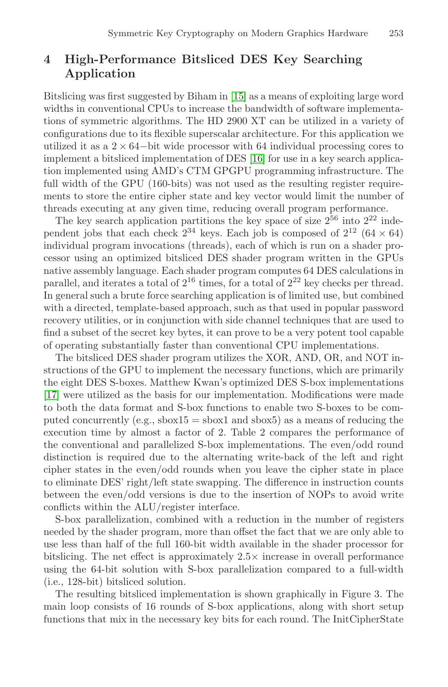# **4 High-Performan[ce](#page-15-10) Bitsliced DES Key Searching Application**

Bitslicing was first suggested by Biham in [15] as a means of exploiting large word widths in conventional CPUs to increase the bandwidth of software implementations of symmetric algorithms. The HD 2900 XT can be utilized in a variety of configurations due to its flexible superscalar architecture. For this application we utilized it as a  $2 \times 64$  -bit wide processor with 64 individual processing cores to implement a bitsliced implementation of DES [16] for use in a key search application implemented using AMD's CTM GPGPU programming infrastructure. The full width of the GPU (160-bits) was not used as the resulting register requirements to store the entire cipher state and key vector would limit the number of threads executing at any given time, reducing overall program performance.

The key search application partitions the key space of size  $2^{56}$  into  $2^{22}$  independent jobs that each check  $2^{34}$  keys. Each job is composed of  $2^{12}$  (64  $\times$  64) individual program invocations (threads), each of which is run on a shader processor using an optimized bitsliced DES shader program written in the GPUs native assembly language. Each shader program computes 64 DES calculations in parallel, and iterates a total of  $2^{16}$  times, for a total of  $2^{22}$  key checks per thread. In general such a brute force searching application is of limited use, but combined with a directed, template-based approach, such as that used in popular password recovery utilities, or in conjunction with side channel techniques that are used to find a subset of the secret key bytes, it can prove to be a very potent tool capable of operating substantially faster than conventional CPU implementations.

The bitsliced DES shader program utilizes the XOR, AND, OR, and NOT instructions of the GPU to implement the necessary functions, which are primarily the eight DES S-boxes. Matthew Kwan's optimized DES S-box implementations [17] were utilized as the basis for our implementation. Modifications were made to both the data format and S-box functions to enable two S-boxes to be computed concurrently (e.g.,  $\frac{\text{3}}{5} = \frac{\text{3}}{5}$  and  $\frac{\text{3}}{5}$ ) as a means of reducing the execution time by almost a factor of 2. Table 2 compares the performance of the conventional and parallelized S-box implementations. The even/odd round distinction is required due to the alternating write-back of the left and right cipher states in the even/odd rounds when you leave the cipher state in place to eliminate DES' right/left state swapping. The difference in instruction counts between the even/odd versions is due to the insertion of NOPs to avoid write conflicts within the ALU/register interface.

S-box parallelization, combined with a reduction in the number of registers needed by the shader program, more than offset the fact that we are only able to use less than half of the full 160-bit width available in the shader processor for bitslicing. The net effect is approximately 2.5× increase in overall performance using the 64-bit solution with S-box parallelization compared to a full-width (i.e., 128-bit) bitsliced solution.

The resulting bitsliced implementation is shown graphically in Figure 3. The main loop consists of 16 rounds of S-box applications, along with short setup functions that mix in the necessary key bits for each round. The InitCipherState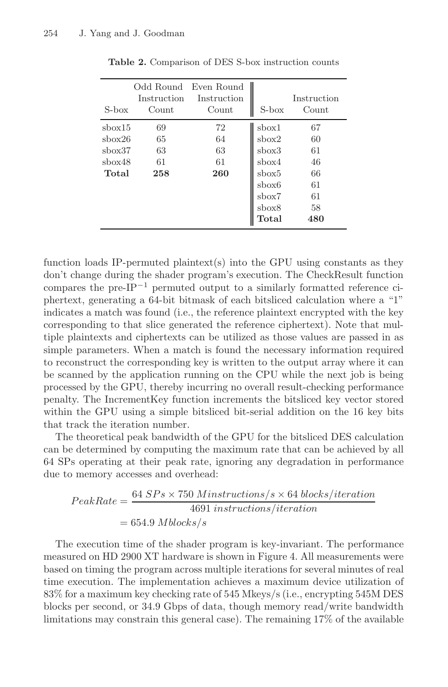| S-box                  | Odd Round<br>Instruction<br>Count | Even Round<br>Instruction<br>Count | S-box             | Instruction<br>Count |
|------------------------|-----------------------------------|------------------------------------|-------------------|----------------------|
| $\frac{\text{sb}}{3}$  | 69                                | 72                                 | sbox1             | 67                   |
| $\frac{\text{sb}}{30}$ | 65                                | 64                                 | $\text{sbox2}$    | 60                   |
| $\frac{\text{sb}}{37}$ | 63                                | 63                                 | sbox3             | 61                   |
| $\frac{\text{sb}}{3}$  | 61                                | 61                                 | sbox4             | 46                   |
| Total                  | 258                               | 260                                | $\text{sbox}5$    | 66                   |
|                        |                                   |                                    | sbox <sub>6</sub> | 61                   |
|                        |                                   |                                    | $\text{sbox}7$    | 61                   |
|                        |                                   |                                    | sbox8             | 58                   |
|                        |                                   |                                    | Total             | 480                  |

**Table 2.** Comparison of DES S-box instruction counts

function loads IP-permuted plaintext(s) into the GPU using constants as they don't change during the shader program's execution. The CheckResult function compares the pre-IP−<sup>1</sup> permuted output to a similarly formatted reference ciphertext, generating a 64-bit bitmask of each bitsliced calculation where a "1" indicates a match was found (i.e., the reference plaintext encrypted with the key corresponding to that slice generated the reference ciphertext). Note that multiple plaintexts and ciphertexts can be utilized as those values are passed in as simple parameters. When a match is found the necessary information required to reconstruct the corresponding key is written to the output array where it can be scanned by the application running on the CPU while the next job is being processed by the GPU, thereby incurring no overall result-checking performance penalty. The IncrementKey function increments the bitsliced key vector stored within the GPU using a simple bitsliced bit-serial addition on the 16 key bits that track the iteration number.

The theoretical peak bandwidth of the GPU for the bitsliced DES calculation can be determined by computing the maximum rate that can be achieved by all 64 SPs operating at their peak rate, ignoring any degradation in performance due to memory accesses and overhead:

$$
PeakRate = \frac{64 \, SPs \times 750 \, Minstructions/s \times 64 \, blocks/iteration}{4691 \, instructions/iteration}
$$

$$
= 654.9 \, Mblocks/s
$$

The execution time of the shader program is key-invariant. The performance measured on HD 2900 XT hardware is shown in Figure 4. All measurements were based on timing the program across multiple iterations for several minutes of real time execution. The implementation achieves a maximum device utilization of 83% for a maximum key checking rate of 545 Mkeys/s (i.e., encrypting 545M DES blocks per second, or 34.9 Gbps of data, though memory read/write bandwidth limitations may constrain this general case). The remaining 17% of the available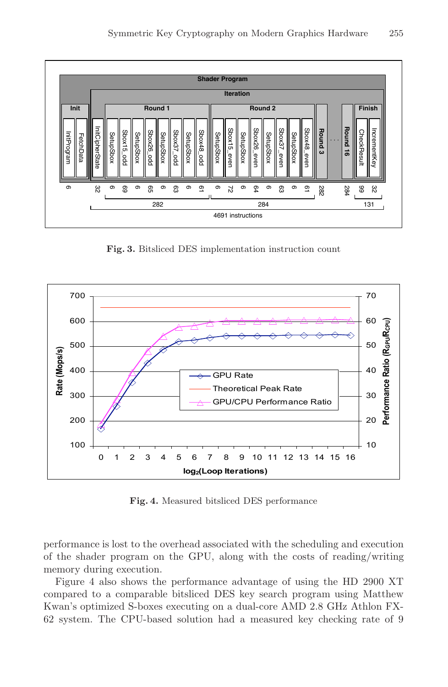

**Fig. 3.** Bitsliced DES implementation instruction count



**Fig. 4.** Measured bitsliced DES performance

performance is lost to the overhead associated with the scheduling and execution of the shader program on the GPU, along with the costs of reading/writing memory during execution.

Figure 4 also shows the performance advantage of using the HD 2900 XT compared to a comparable bitsliced DES key search program using Matthew Kwan's optimized S-boxes executing on a dual-core AMD 2.8 GHz Athlon FX-62 system. The CPU-based solution had a measured key checking rate of 9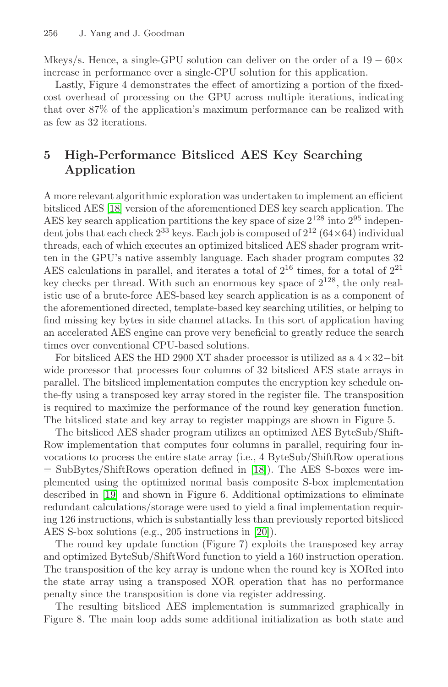Mkeys/s. Hence, a single-GPU solution can deliver on the order of a  $19-60\times$ increase in performance over a single-CPU solution for this application.

Lastly, Figure 4 demonstrates the effect of amortizing a portion of the fixedcost overhead of processing on the GPU across multiple iterations, indicating that over 87% of the application's maximum performance can be realized with as few as 32 iterations.

# **5 High-Performance Bitsliced AES Key Searching Application**

A more relevant algorithmic exploration was undertaken to implement an efficient bitsliced AES [18] version of the aforementioned DES key search application. The AES key search application partitions the key space of size  $2^{128}$  into  $2^{95}$  independent jobs that each check  $2^{33}$  keys. Each job is composed of  $2^{12}$  (64×64) individual threads, each of which executes an optimized bitsliced AES shader program written in the GPU's native assembly language. Each shader program computes 32 AES calculations in parallel, and iterates a total of  $2^{16}$  times, for a total of  $2^{21}$ key checks per thread. With such an enormous key space of  $2^{128}$ , the only realistic use of a brute-force AES-based key search application is as a component of the aforementioned directed, template-based key searching utilities, or helping to find missing key bytes in side channel attacks. In this sort of application having an accelerated AES engine can prove very beneficial to greatly reduce the search times over conventional CPU-based solutions.

For bitsliced AES the HD 2900 XT shader processor is utilized as a  $4 \times 32$ −bit wide processor that proces[ses](#page-15-11) four columns of 32 bitsliced AES state arrays in parallel. The bitsliced implementation computes the encryption key schedule onthe-fly using a transposed key array stored in the register file. The transposition is required to maximize the performance of the round key generation function. The bitsliced state and key array to register mappings are shown in Figure 5.

The bitsliced AES shade[r pr](#page-15-12)ogram utilizes an optimized AES ByteSub/Shift-Row implementation that computes four columns in parallel, requiring four invocations to process the entire state array (i.e., 4 ByteSub/ShiftRow operations  $=$  SubBytes/ShiftRows operation defined in [18]). The AES S-boxes were implemented using the optimized normal basis composite S-box implementation described in [19] and shown in Figure 6. Additional optimizations to eliminate redundant calculations/storage were used to yield a final implementation requiring 126 instructions, which is substantially less than previously reported bitsliced AES S-box solutions (e.g., 205 instructions in [20]).

The round key update function (Figure 7) exploits the transposed key array and optimized ByteSub/ShiftWord function to yield a 160 instruction operation. The transposition of the key array is undone when the round key is XORed into the state array using a transposed XOR operation that has no performance penalty since the transposition is done via register addressing.

The resulting bitsliced AES implementation is summarized graphically in Figure 8. The main loop adds some additional initialization as both state and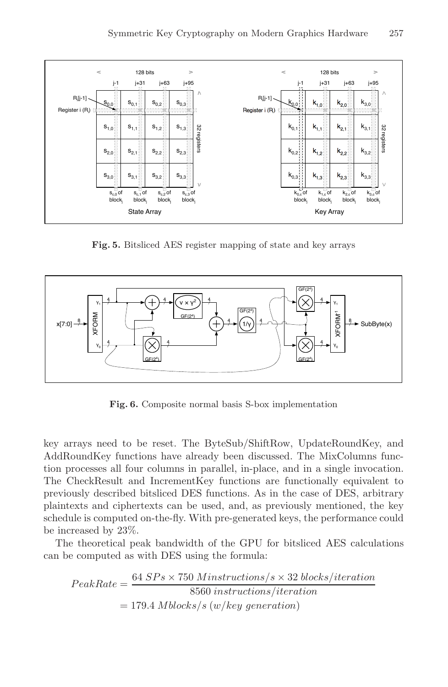

**Fig. 5.** Bitsliced AES register mapping of state and key arrays



**Fig. 6.** Composite normal basis S-box implementation

key arrays need to be reset. The ByteSub/ShiftRow, UpdateRoundKey, and AddRoundKey functions have already been discussed. The MixColumns function processes all four columns in parallel, in-place, and in a single invocation. The CheckResult and IncrementKey functions are functionally equivalent to previously described bitsliced DES functions. As in the case of DES, arbitrary plaintexts and ciphertexts can be used, and, as previously mentioned, the key schedule is computed on-the-fly. With pre-generated keys, the performance could be increased by 23%.

The theoretical peak bandwidth of the GPU for bitsliced AES calculations can be computed as with DES using the formula:

$$
PeakRate = \frac{64 \, SPs \times 750 \, Minstructions/s \times 32 \, blocks/iteration}{8560 \, instructions/iteration}
$$
\n
$$
= 179.4 \, Mblocks/s \, (w/key \, generation)
$$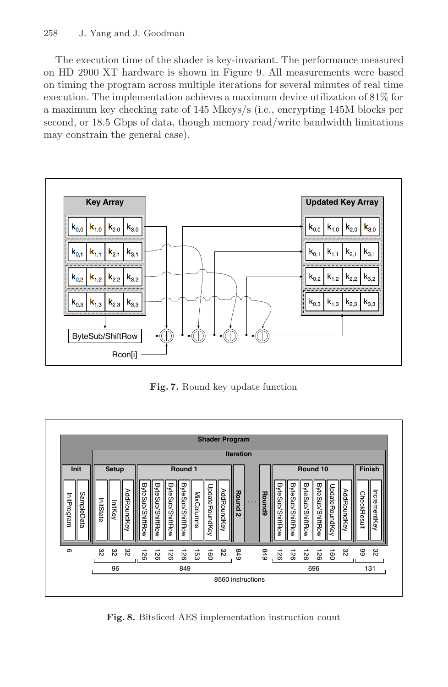The execution time of the shader is key-invariant. The performance measured on HD 2900 XT hardware is shown in Figure 9. All measurements were based on timing the program across multiple iterations for several minutes of real time execution. The implementation achieves a maximum device utilization of 81% for a maximum key checking rate of 145 Mkeys/s (i.e., encrypting 145M blocks per second, or 18.5 Gbps of data, though memory read/write bandwidth limitations may constrain the general case).



**Fig. 7.** Round key update function



**Fig. 8.** Bitsliced AES implementation instruction count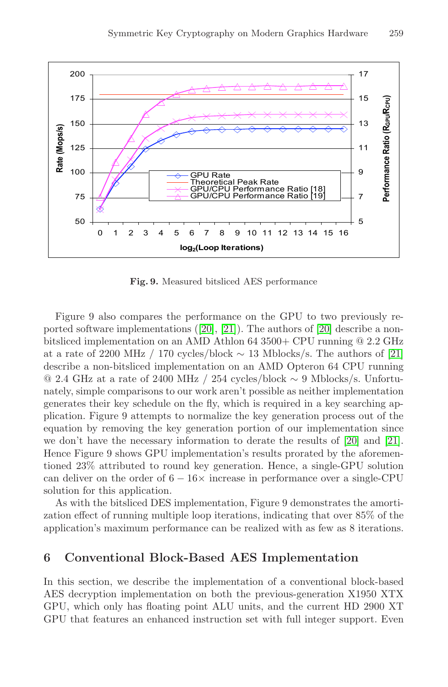

**Fig. 9.** Measured bitsliced AES performance

Figure 9 also compares the performance on the GPU to two previously reported software implementations ([20], [21]). The authors of [20] describe a nonbitsliced implementation on an AMD Athlon 64 [350](#page-15-12)0+ C[PU](#page-15-13) running @ 2.2 GHz at a rate of 2200 MHz / 170 cycles/block  $\sim$  13 Mblocks/s. The authors of [21] describe a non-bitsliced implementation on an AMD Opteron 64 CPU running @ 2.4 GHz at a rate of 2400 MHz / 254 cycles/block ∼ 9 Mblocks/s. Unfortunately, simple comparisons to our work aren't possible as neither implementation generates their key schedule on the fly, which is required in a key searching application. Figure 9 attempts to normalize the key generation process out of the equation by removing the key generation portion of our implementation since we don't have the necessary information to derate the results of [20] and [21]. Hence Figure 9 shows GPU implementation's results prorated by the aforementioned 23% attributed to round key generation. Hence, a single-GPU solution can deliver on the order of  $6 - 16 \times$  increase in performance over a single-CPU solution for this application.

As with the bitsliced DES implementation, Figure 9 demonstrates the amortization effect of running multiple loop iterations, indicating that over 85% of the application's maximum performance can be realized with as few as 8 iterations.

#### **6 Conventional Block-Based AES Implementation**

In this section, we describe the implementation of a conventional block-based AES decryption implementation on both the previous-generation X1950 XTX GPU, which only has floating point ALU units, and the current HD 2900 XT GPU that features an enhanced instruction set with full integer support. Even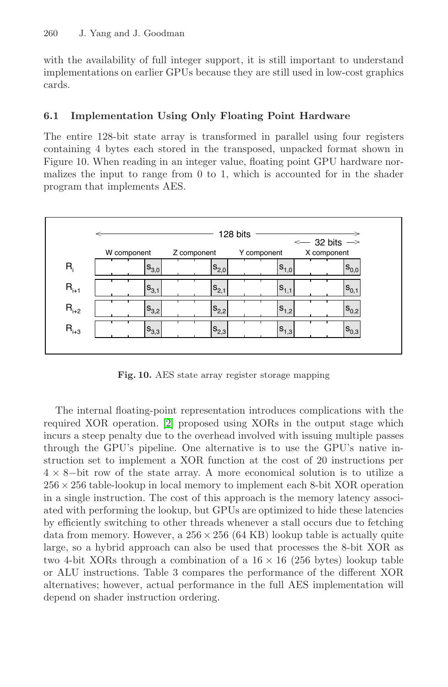with the availability of full integer support, it is still important to understand implementations on earlier GPUs because they are still used in low-cost graphics cards.

#### **6.1 Implementation Using Only Floating Point Hardware**

The entire 128-bit state array is transformed in parallel using four registers containing 4 bytes each stored in the transposed, unpacked format shown in Figure 10. When reading in an integer value, floating point GPU hardware normalizes the input to range from 0 to 1, which is accounted for in the shader program that implements AES.



**Fig. 10.** AES state array register storage mapping

The internal floating-point representation introduces complications with the required XOR operation. [2] proposed using XORs in the output stage which incurs a steep penalty due to the overhead involved with issuing multiple passes through the GPU's pipeline. One alternative is to use the GPU's native instruction set to implement a XOR function at the cost of 20 instructions per 4 × 8−bit row of the state array. A more economical solution is to utilize a  $256 \times 256$  table-lookup in local memory to implement each 8-bit XOR operation in a single instruction. The cost of this approach is the memory latency associated with performing the lookup, but GPUs are optimized to hide these latencies by efficiently switching to other threads whenever a stall occurs due to fetching data from memory. However, a  $256 \times 256$  (64 KB) lookup table is actually quite large, so a hybrid approach can also be used that processes the 8-bit XOR as two 4-bit XORs through a combination of a  $16 \times 16$  (256 bytes) lookup table or ALU instructions. Table 3 compares the performance of the different XOR alternatives; however, actual performance in the full AES implementation will depend on shader instruction ordering.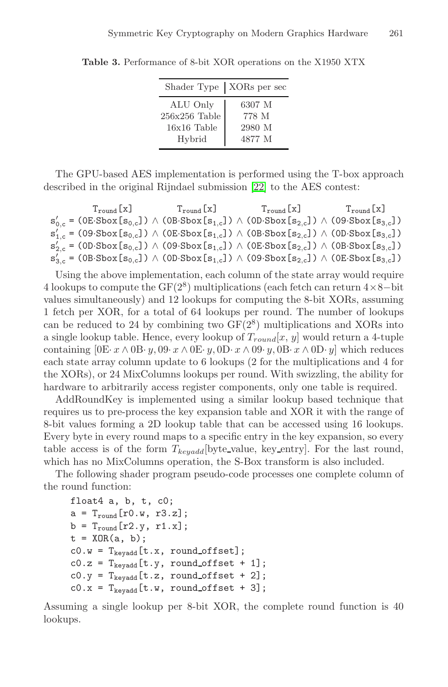|                 | Shader Type   XORs per sec |
|-----------------|----------------------------|
| ALU Only        | 6307 M                     |
| $256x256$ Table | 778 M                      |
| $16x16$ Table   | 2980 M                     |
| Hybrid          | 4877 M                     |

**Table 3.** Performance of 8-bit XOR operations on the X1950 XTX

The GPU-based AES implementation is performed using the T-box approach described in the original Rijndael submission [22] to the AES contest:

| $T_{round}$ $\lfloor x \rfloor$                                                                                                             | $T_{\rm round}$ $\lfloor x \rfloor$ | $T_{round}$ $\lfloor x \rfloor$ | $T_{round}$ $\lfloor x \rfloor$ |
|---------------------------------------------------------------------------------------------------------------------------------------------|-------------------------------------|---------------------------------|---------------------------------|
| $s'_{0,c}$ = (OE·Sbox [ $s_{0,c}$ ]) $\wedge$ (OB·Sbox [ $s_{1,c}$ ]) $\wedge$ (OD·Sbox [ $s_{2,c}$ ]) $\wedge$ (O9·Sbox [ $s_{3,c}$ ])     |                                     |                                 |                                 |
| $s'_{1,c}$ = (09. Sbox [ $s_{0,c}$ ]) $\wedge$ (0E. Sbox [ $s_{1,c}$ ]) $\wedge$ (0B. Sbox [ $s_{2,c}$ ]) $\wedge$ (0D. Sbox [ $s_{3,c}$ ]) |                                     |                                 |                                 |
| $s'_{2,c}$ = (0D·Sbox $[s_{0,c}]$ ) $\wedge$ (09·Sbox $[s_{1,c}]$ ) $\wedge$ (0E·Sbox $[s_{2,c}]$ ) $\wedge$ (0B·Sbox $[s_{3,c}]$ )         |                                     |                                 |                                 |
| $s'_{3,c}$ = (0B·Sbox [ $s_{0,c}$ ]) $\wedge$ (0D·Sbox [ $s_{1,c}$ ]) $\wedge$ (09·Sbox [ $s_{2,c}$ ]) $\wedge$ (0E·Sbox [ $s_{3,c}$ ])     |                                     |                                 |                                 |

Using the above implementation, each column of the state array would require 4 lookups to compute the GF( $2^8$ ) multiplications (each fetch can return  $4\times8-$ bit values simultaneously) and 12 lookups for computing the 8-bit XORs, assuming 1 fetch per XOR, for a total of 64 lookups per round. The number of lookups can be reduced to 24 by combining two  $GF(2^8)$  multiplications and XORs into a single lookup table. Hence, every lookup of  $T_{round}[x, y]$  would return a 4-tuple containing  $[0E \cdot x \wedge 0B \cdot y, 09 \cdot x \wedge 0E \cdot y, 0D \cdot x \wedge 09 \cdot y, 0B \cdot x \wedge 0D \cdot y]$  which reduces each state array column update to 6 lookups (2 for the multiplications and 4 for the XORs), or 24 MixColumns lookups per round. With swizzling, the ability for hardware to arbitrarily access register components, only one table is required.

AddRoundKey is implemented using a similar lookup based technique that requires us to pre-process the key expansion table and XOR it with the range of 8-bit values forming a 2D lookup table that can be accessed using 16 lookups. Every byte in every round maps to a specific entry in the key expansion, so every table access is of the form  $T_{keyadd}$ [byte\_value, key\_entry]. For the last round, which has no MixColumns operation, the S-Box transform is also included.

The following shader program pseudo-code processes one complete column of the round function:

```
float4 a, b, t, c0;
a = T_{round}[r0.w, r3.z];b = T_{round}[r2.y, r1.x];t = XOR(a, b):
c0.w = T_{\text{kevadd}}[t.x, \text{round_offset}];c0.z = T<sub>keyadd</sub>[t.y, round_offset + 1];c0.y = T_{\text{kevadd}}[t.z, \text{round_offset + 2}];c0.x = T_{\text{kevadd}}[t.w, \text{round_offset } + 3];
```
Assuming a single lookup per 8-bit XOR, the complete round function is 40 lookups.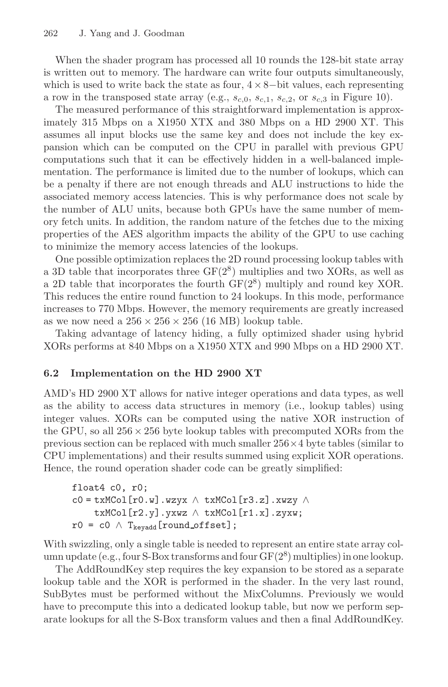When the shader program has processed all 10 rounds the 128-bit state array is written out to memory. The hardware can write four outputs simultaneously, which is used to write back the state as four,  $4 \times 8$ −bit values, each representing a row in the transposed state array (e.g.,  $s_{c,0}$ ,  $s_{c,1}$ ,  $s_{c,2}$ , or  $s_{c,3}$  in Figure 10).

The measured performance of this straightforward implementation is approximately 315 Mbps on a X1950 XTX and 380 Mbps on a HD 2900 XT. This assumes all input blocks use the same key and does not include the key expansion which can be computed on the CPU in parallel with previous GPU computations such that it can be effectively hidden in a well-balanced implementation. The performance is limited due to the number of lookups, which can be a penalty if there are not enough threads and ALU instructions to hide the associated memory access latencies. This is why performance does not scale by the number of ALU units, because both GPUs have the same number of memory fetch units. In addition, the random nature of the fetches due to the mixing properties of the AES algorithm impacts the ability of the GPU to use caching to minimize the memory access latencies of the lookups.

One possible optimization replaces the 2D round processing lookup tables with a 3D table that incorporates three  $GF(2^8)$  multiplies and two XORs, as well as a 2D table that incorporates the fourth  $GF(2^8)$  multiply and round key XOR. This reduces the entire round function to 24 lookups. In this mode, performance increases to 770 Mbps. However, the memory requirements are greatly increased as we now need a  $256 \times 256 \times 256$  (16 MB) lookup table.

Taking advantage of latency hiding, a fully optimized shader using hybrid XORs performs at 840 Mbps on a X1950 XTX and 990 Mbps on a HD 2900 XT.

## **6.2 Implementation on the HD 2900 XT**

AMD's HD 2900 XT allows for native integer operations and data types, as well as the ability to access data structures in memory (i.e., lookup tables) using integer values. XORs can be computed using the native XOR instruction of the GPU, so all  $256 \times 256$  byte lookup tables with precomputed XORs from the previous section can be replaced with much smaller  $256\times4$  byte tables (similar to CPU implementations) and their results summed using explicit XOR operations. Hence, the round operation shader code can be greatly simplified:

```
float4 c0, r0;
c0 = txMCol[ro.w].wzyx \wedge txMCol[r3.z].xwzy \wedgetxMCol[r2.y].yxwz ∧ txMCol[r1.x].zyxw;
r0 = c0 \land T_{\text{keyadd}}[round_offset];
```
With swizzling, only a single table is needed to represent an entire state array column update (e.g., four S-Box transforms and four  $GF(2^8)$  multiplies) in one lookup.

The AddRoundKey step requires the key expansion to be stored as a separate lookup table and the XOR is performed in the shader. In the very last round, SubBytes must be performed without the MixColumns. Previously we would have to precompute this into a dedicated lookup table, but now we perform separate lookups for all the S-Box transform values and then a final AddRoundKey.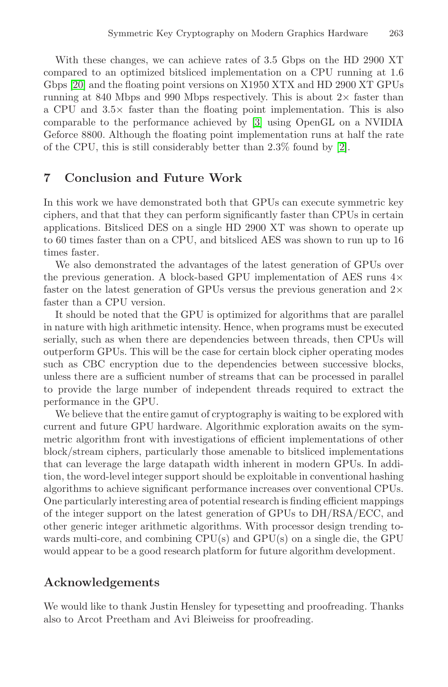With these changes, we can achieve rates [of](#page-15-14) 3.5 Gbps on the HD 2900 XT compared to an optimized bitsliced implementation on a CPU running at 1.6 Gbps [20] and the floating point versions on X1950 XTX and HD 2900 XT GPUs running at 840 Mbps and 990 Mbps respectively. This is about  $2\times$  faster than a CPU and 3.5× faster than the floating point implementation. This is also comparable to the performance achieved by [3] using OpenGL on a NVIDIA Geforce 8800. Although the floating point implementation runs at half the rate of the CPU, this is still considerably better than 2.3% found by [2].

# **7 Conclusion and Future Work**

In this work we have demonstrated both that GPUs can execute symmetric key ciphers, and that that they can perform significantly faster than CPUs in certain applications. Bitsliced DES on a single HD 2900 XT was shown to operate up to 60 times faster than on a CPU, and bitsliced AES was shown to run up to 16 times faster.

We also demonstrated the advantages of the latest generation of GPUs over the previous generation. A block-based GPU implementation of AES runs  $4\times$ faster on the latest generation of GPUs versus the previous generation and  $2\times$ faster than a CPU version.

It should be noted that the GPU is optimized for algorithms that are parallel in nature with high arithmetic intensity. Hence, when programs must be executed serially, such as when there are dependencies between threads, then CPUs will outperform GPUs. This will be the case for certain block cipher operating modes such as CBC encryption due to the dependencies between successive blocks, unless there are a sufficient number of streams that can be processed in parallel to provide the large number of independent threads required to extract the performance in the GPU.

We believe that the entire gamut of cryptography is waiting to be explored with current and future GPU hardware. Algorithmic exploration awaits on the symmetric algorithm front with investigations of efficient implementations of other block/stream ciphers, particularly those amenable to bitsliced implementations that can leverage the large datapath width inherent in modern GPUs. In addition, the word-level integer support should be exploitable in conventional hashing algorithms to achieve significant performance increases over conventional CPUs. One particularly interesting area of potential research is finding efficient mappings of the integer support on the latest generation of GPUs to DH/RSA/ECC, and other generic integer arithmetic algorithms. With processor design trending towards multi-core, and combining CPU(s) and GPU(s) on a single die, the GPU would appear to be a good research platform for future algorithm development.

## **Acknowledgements**

We would like to thank Justin Hensley for typesetting and proofreading. Thanks also to Arcot Preetham and Avi Bleiweiss for proofreading.